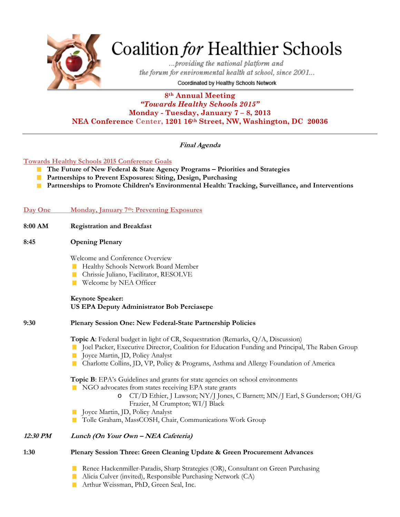

# Coalition for Healthier Schools

...providing the national platform and the forum for environmental health at school, since 2001...

Coordinated by Healthy Schools Network

## **8th Annual Meeting**  *"Towards Healthy Schools 2015"*  **Monday - Tuesday, January 7 – 8, 2013 NEA Conference Center, 1201 16th Street, NW, Washington, DC 20036**

# **Final Agenda**

#### **Towards Healthy Schools 2015 Conference Goals**

- **The Future of New Federal & State Agency Programs Priorities and Strategies The Second**
- **Partnerships to Prevent Exposures: Siting, Design, Purchasing**
- **Partnerships to Promote Children's Environmental Health: Tracking, Surveillance, and Interventions**

#### **Day One Monday, January 7th: Preventing Exposures**

| 8:00 AM | <b>Registration and Breakfast</b> |
|---------|-----------------------------------|
|         |                                   |

#### **8:45 Opening Plenary**

Welcome and Conference Overview

- **Healthy Schools Network Board Member**
- **Chrissie Juliano, Facilitator, RESOLVE**
- Welcome by NEA Officer

**Keynote Speaker: US EPA Deputy Administrator Bob Perciasepe** 

#### **9:30 Plenary Session One: New Federal-State Partnership Policies**

**Topic A**: Federal budget in light of CR, Sequestration (Remarks, Q/A, Discussion)

- **Joel Packer, Executive Director, Coalition for Education Funding and Principal, The Raben Group**
- Joyce Martin, JD, Policy Analyst
- Charlotte Collins, JD, VP, Policy & Programs, Asthma and Allergy Foundation of America

**Topic B**: EPA's Guidelines and grants for state agencies on school environments

- NGO advocates from states receiving EPA state grants
	- o CT/D Ethier, J Lawson; NY/J Jones, C Barnett; MN/J Earl, S Gunderson; OH/G Frazier, M Crumpton; WI/J Black
- **Joyce Martin, JD, Policy Analyst**
- Tolle Graham, MassCOSH, Chair, Communications Work Group

## **12:30 PM Lunch (On Your Own – NEA Cafeteria)**

#### **1:30 Plenary Session Three: Green Cleaning Update & Green Procurement Advances**

- **Renee Hackenmiller-Paradis, Sharp Strategies (OR), Consultant on Green Purchasing**
- **Alicia Culver (invited), Responsible Purchasing Network (CA)**
- **Arthur Weissman, PhD, Green Seal, Inc.**